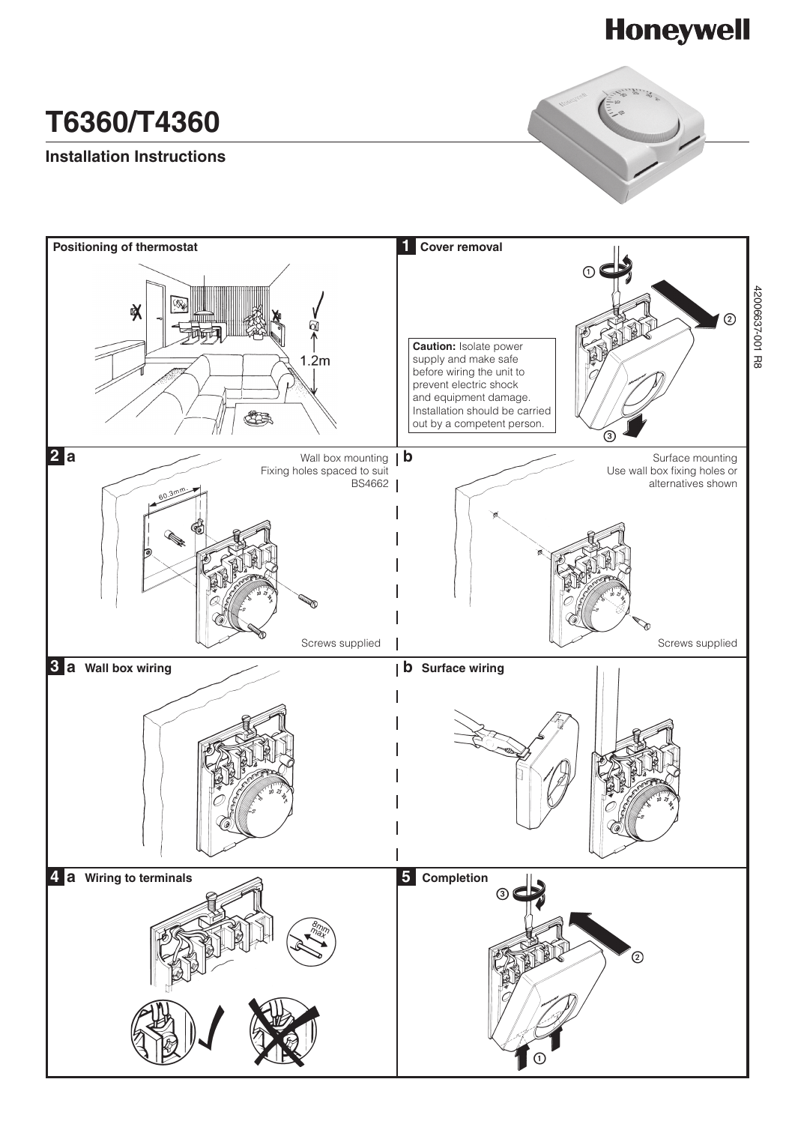# **Honeywell**

# **T6360/T4360**

# **Installation Instructions**